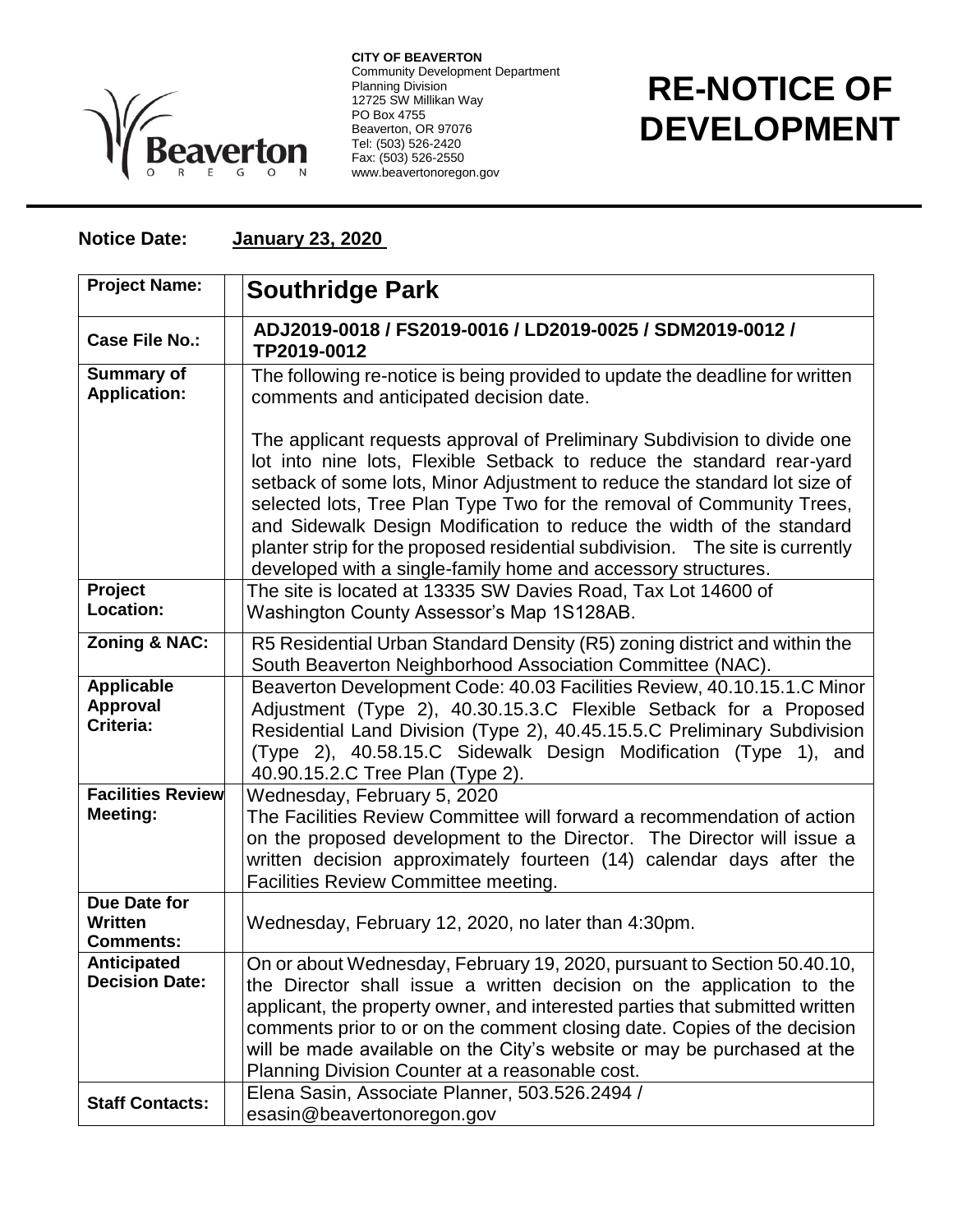

**CITY OF BEAVERTON** Community Development Department Planning Division 12725 SW Millikan Way PO Box 4755 Beaverton, OR 97076 Tel: (503) 526-2420 Fax: (503) 526-2550 www.beavertonoregon.gov

## **RE-NOTICE OF DEVELOPMENT**

## **Notice Date: January 23, 2020**

| <b>Project Name:</b>                               | <b>Southridge Park</b>                                                                                                                                                                                                                                                                                                                                                                                                                                                                                                            |
|----------------------------------------------------|-----------------------------------------------------------------------------------------------------------------------------------------------------------------------------------------------------------------------------------------------------------------------------------------------------------------------------------------------------------------------------------------------------------------------------------------------------------------------------------------------------------------------------------|
| <b>Case File No.:</b>                              | ADJ2019-0018 / FS2019-0016 / LD2019-0025 / SDM2019-0012 /<br>TP2019-0012                                                                                                                                                                                                                                                                                                                                                                                                                                                          |
| <b>Summary of</b><br><b>Application:</b>           | The following re-notice is being provided to update the deadline for written<br>comments and anticipated decision date.                                                                                                                                                                                                                                                                                                                                                                                                           |
|                                                    | The applicant requests approval of Preliminary Subdivision to divide one<br>lot into nine lots, Flexible Setback to reduce the standard rear-yard<br>setback of some lots, Minor Adjustment to reduce the standard lot size of<br>selected lots, Tree Plan Type Two for the removal of Community Trees,<br>and Sidewalk Design Modification to reduce the width of the standard<br>planter strip for the proposed residential subdivision. The site is currently<br>developed with a single-family home and accessory structures. |
| Project<br>Location:                               | The site is located at 13335 SW Davies Road, Tax Lot 14600 of<br>Washington County Assessor's Map 1S128AB.                                                                                                                                                                                                                                                                                                                                                                                                                        |
| <b>Zoning &amp; NAC:</b>                           | R5 Residential Urban Standard Density (R5) zoning district and within the<br>South Beaverton Neighborhood Association Committee (NAC).                                                                                                                                                                                                                                                                                                                                                                                            |
| <b>Applicable</b><br>Approval<br>Criteria:         | Beaverton Development Code: 40.03 Facilities Review, 40.10.15.1.C Minor<br>Adjustment (Type 2), 40.30.15.3.C Flexible Setback for a Proposed<br>Residential Land Division (Type 2), 40.45.15.5.C Preliminary Subdivision<br>(Type 2), 40.58.15.C Sidewalk Design Modification (Type 1), and<br>40.90.15.2.C Tree Plan (Type 2).                                                                                                                                                                                                   |
| <b>Facilities Review</b><br>Meeting:               | Wednesday, February 5, 2020<br>The Facilities Review Committee will forward a recommendation of action<br>on the proposed development to the Director. The Director will issue a<br>written decision approximately fourteen (14) calendar days after the<br>Facilities Review Committee meeting.                                                                                                                                                                                                                                  |
| Due Date for<br><b>Written</b><br><b>Comments:</b> | Wednesday, February 12, 2020, no later than 4:30pm.                                                                                                                                                                                                                                                                                                                                                                                                                                                                               |
| <b>Anticipated</b><br><b>Decision Date:</b>        | On or about Wednesday, February 19, 2020, pursuant to Section 50.40.10,<br>the Director shall issue a written decision on the application to the<br>applicant, the property owner, and interested parties that submitted written<br>comments prior to or on the comment closing date. Copies of the decision<br>will be made available on the City's website or may be purchased at the<br>Planning Division Counter at a reasonable cost.                                                                                        |
| <b>Staff Contacts:</b>                             | Elena Sasin, Associate Planner, 503.526.2494 /<br>esasin@beavertonoregon.gov                                                                                                                                                                                                                                                                                                                                                                                                                                                      |